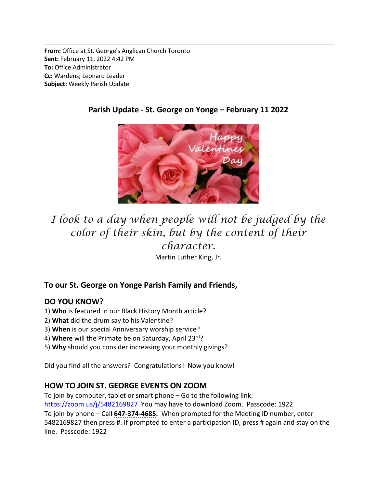From: Office at St. George's Anglican Church Toronto Sent: February 11, 2022 4:42 PM To: Office Administrator Cc: Wardens; Leonard Leader Subject: Weekly Parish Update



# Parish Update - St. George on Yonge – February 11 2022

# I look to a day when people will not be judged by the color of their skin, but by the content of their character.

Martin Luther King, Jr.

# To our St. George on Yonge Parish Family and Friends,

#### DO YOU KNOW?

- 1) Who is featured in our Black History Month article?
- 2) What did the drum say to his Valentine?
- 3) When is our special Anniversary worship service?
- 4) Where will the Primate be on Saturday, April 23rd?
- 5) Why should you consider increasing your monthly givings?

Did you find all the answers? Congratulations! Now you know!

# HOW TO JOIN ST. GEORGE EVENTS ON ZOOM

To join by computer, tablet or smart phone – Go to the following link:

https://zoom.us/j/5482169827 You may have to download Zoom. Passcode: 1922

To join by phone – Call 647-374-4685. When prompted for the Meeting ID number, enter 5482169827 then press #. If prompted to enter a participation ID, press # again and stay on the line. Passcode: 1922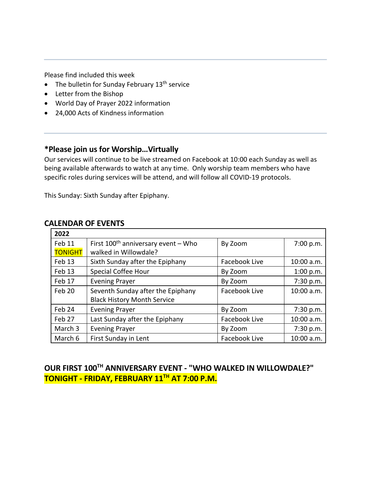Please find included this week

- $\bullet$  The bulletin for Sunday February 13<sup>th</sup> service
- Letter from the Bishop
- World Day of Prayer 2022 information
- 24,000 Acts of Kindness information

#### \*Please join us for Worship…Virtually

Our services will continue to be live streamed on Facebook at 10:00 each Sunday as well as being available afterwards to watch at any time. Only worship team members who have specific roles during services will be attend, and will follow all COVID-19 protocols.

This Sunday: Sixth Sunday after Epiphany.

#### CALENDAR OF EVENTS

| 2022           |                                          |               |            |
|----------------|------------------------------------------|---------------|------------|
| Feb 11         | First $100^{th}$ anniversary event – Who | By Zoom       | 7:00 p.m.  |
| <b>TONIGHT</b> | walked in Willowdale?                    |               |            |
| Feb 13         | Sixth Sunday after the Epiphany          | Facebook Live | 10:00 a.m. |
| Feb 13         | Special Coffee Hour                      | By Zoom       | 1:00 p.m.  |
| Feb 17         | <b>Evening Prayer</b>                    | By Zoom       | 7:30 p.m.  |
| Feb 20         | Seventh Sunday after the Epiphany        | Facebook Live | 10:00 a.m. |
|                | <b>Black History Month Service</b>       |               |            |
| Feb 24         | <b>Evening Prayer</b>                    | By Zoom       | 7:30 p.m.  |
| Feb 27         | Last Sunday after the Epiphany           | Facebook Live | 10:00 a.m. |
| March 3        | <b>Evening Prayer</b>                    | By Zoom       | 7:30 p.m.  |
| March 6        | First Sunday in Lent                     | Facebook Live | 10:00 a.m. |

# OUR FIRST 100TH ANNIVERSARY EVENT - "WHO WALKED IN WILLOWDALE?" TONIGHT - FRIDAY, FEBRUARY 11<sup>TH</sup> AT 7:00 P.M.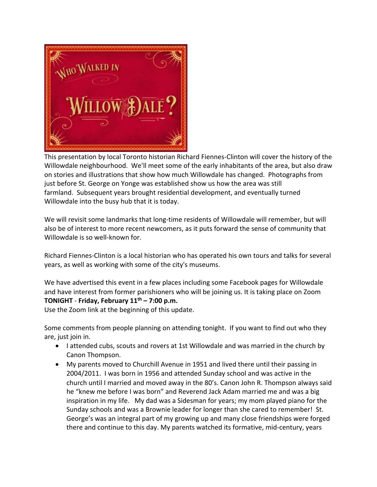

This presentation by local Toronto historian Richard Fiennes-Clinton will cover the history of the Willowdale neighbourhood. We'll meet some of the early inhabitants of the area, but also draw on stories and illustrations that show how much Willowdale has changed. Photographs from just before St. George on Yonge was established show us how the area was still farmland. Subsequent years brought residential development, and eventually turned Willowdale into the busy hub that it is today.

We will revisit some landmarks that long-time residents of Willowdale will remember, but will also be of interest to more recent newcomers, as it puts forward the sense of community that Willowdale is so well-known for.

Richard Fiennes-Clinton is a local historian who has operated his own tours and talks for several years, as well as working with some of the city's museums.

We have advertised this event in a few places including some Facebook pages for Willowdale and have interest from former parishioners who will be joining us. It is taking place on Zoom TONIGHT - Friday, February  $11<sup>th</sup>$  – 7:00 p.m.

Use the Zoom link at the beginning of this update.

Some comments from people planning on attending tonight. If you want to find out who they are, just join in.

- I attended cubs, scouts and rovers at 1st Willowdale and was married in the church by Canon Thompson.
- My parents moved to Churchill Avenue in 1951 and lived there until their passing in 2004/2011. I was born in 1956 and attended Sunday school and was active in the church until I married and moved away in the 80's. Canon John R. Thompson always said he "knew me before I was born" and Reverend Jack Adam married me and was a big inspiration in my life. My dad was a Sidesman for years; my mom played piano for the Sunday schools and was a Brownie leader for longer than she cared to remember! St. George's was an integral part of my growing up and many close friendships were forged there and continue to this day. My parents watched its formative, mid-century, years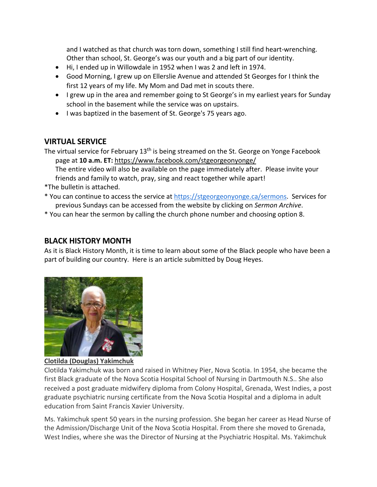and I watched as that church was torn down, something I still find heart-wrenching. Other than school, St. George's was our youth and a big part of our identity.

- Hi, I ended up in Willowdale in 1952 when I was 2 and left in 1974.
- Good Morning, I grew up on Ellerslie Avenue and attended St Georges for I think the first 12 years of my life. My Mom and Dad met in scouts there.
- I grew up in the area and remember going to St George's in my earliest years for Sunday school in the basement while the service was on upstairs.
- I was baptized in the basement of St. George's 75 years ago.

#### VIRTUAL SERVICE

The virtual service for February 13<sup>th</sup> is being streamed on the St. George on Yonge Facebook page at 10 a.m. ET: https://www.facebook.com/stgeorgeonyonge/

The entire video will also be available on the page immediately after. Please invite your friends and family to watch, pray, sing and react together while apart!

- \*The bulletin is attached.
- \* You can continue to access the service at https://stgeorgeonyonge.ca/sermons. Services for previous Sundays can be accessed from the website by clicking on Sermon Archive.

\* You can hear the sermon by calling the church phone number and choosing option 8.

#### BLACK HISTORY MONTH

As it is Black History Month, it is time to learn about some of the Black people who have been a part of building our country. Here is an article submitted by Doug Heyes.



#### Clotilda (Douglas) Yakimchuk

Clotilda Yakimchuk was born and raised in Whitney Pier, Nova Scotia. In 1954, she became the first Black graduate of the Nova Scotia Hospital School of Nursing in Dartmouth N.S.. She also received a post graduate midwifery diploma from Colony Hospital, Grenada, West Indies, a post graduate psychiatric nursing certificate from the Nova Scotia Hospital and a diploma in adult education from Saint Francis Xavier University.

Ms. Yakimchuk spent 50 years in the nursing profession. She began her career as Head Nurse of the Admission/Discharge Unit of the Nova Scotia Hospital. From there she moved to Grenada, West Indies, where she was the Director of Nursing at the Psychiatric Hospital. Ms. Yakimchuk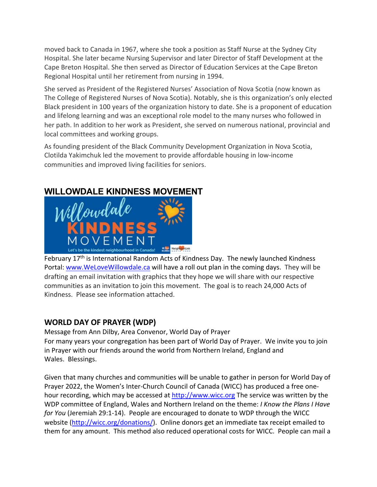moved back to Canada in 1967, where she took a position as Staff Nurse at the Sydney City Hospital. She later became Nursing Supervisor and later Director of Staff Development at the Cape Breton Hospital. She then served as Director of Education Services at the Cape Breton Regional Hospital until her retirement from nursing in 1994.

She served as President of the Registered Nurses' Association of Nova Scotia (now known as The College of Registered Nurses of Nova Scotia). Notably, she is this organization's only elected Black president in 100 years of the organization history to date. She is a proponent of education and lifelong learning and was an exceptional role model to the many nurses who followed in her path. In addition to her work as President, she served on numerous national, provincial and local committees and working groups.

As founding president of the Black Community Development Organization in Nova Scotia, Clotilda Yakimchuk led the movement to provide affordable housing in low-income communities and improved living facilities for seniors.

# WILLOWDALE KINDNESS MOVEMENT



February 17th is International Random Acts of Kindness Day. The newly launched Kindness Portal: www.WeLoveWillowdale.ca will have a roll out plan in the coming days. They will be drafting an email invitation with graphics that they hope we will share with our respective communities as an invitation to join this movement. The goal is to reach 24,000 Acts of Kindness. Please see information attached.

# WORLD DAY OF PRAYER (WDP)

Message from Ann Dilby, Area Convenor, World Day of Prayer For many years your congregation has been part of World Day of Prayer. We invite you to join in Prayer with our friends around the world from Northern Ireland, England and Wales. Blessings.

Given that many churches and communities will be unable to gather in person for World Day of Prayer 2022, the Women's Inter-Church Council of Canada (WICC) has produced a free onehour recording, which may be accessed at http://www.wicc.org The service was written by the WDP committee of England, Wales and Northern Ireland on the theme: I Know the Plans I Have for You (Jeremiah 29:1-14). People are encouraged to donate to WDP through the WICC website (http://wicc.org/donations/). Online donors get an immediate tax receipt emailed to them for any amount. This method also reduced operational costs for WICC. People can mail a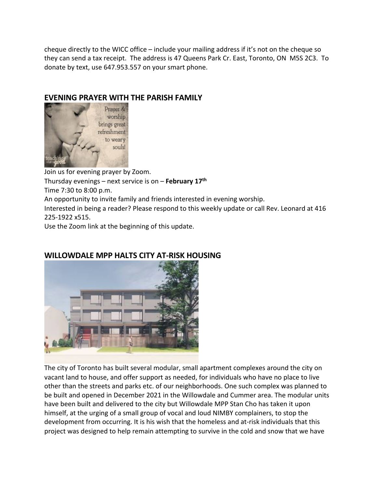cheque directly to the WICC office – include your mailing address if it's not on the cheque so they can send a tax receipt. The address is 47 Queens Park Cr. East, Toronto, ON M5S 2C3. To donate by text, use 647.953.557 on your smart phone.

## EVENING PRAYER WITH THE PARISH FAMILY



Join us for evening prayer by Zoom. Thursday evenings – next service is on – February  $17<sup>th</sup>$ Time 7:30 to 8:00 p.m. An opportunity to invite family and friends interested in evening worship. Interested in being a reader? Please respond to this weekly update or call Rev. Leonard at 416 225-1922 x515. Use the Zoom link at the beginning of this update.



#### WILLOWDALE MPP HALTS CITY AT-RISK HOUSING

The city of Toronto has built several modular, small apartment complexes around the city on vacant land to house, and offer support as needed, for individuals who have no place to live other than the streets and parks etc. of our neighborhoods. One such complex was planned to be built and opened in December 2021 in the Willowdale and Cummer area. The modular units have been built and delivered to the city but Willowdale MPP Stan Cho has taken it upon himself, at the urging of a small group of vocal and loud NIMBY complainers, to stop the development from occurring. It is his wish that the homeless and at-risk individuals that this project was designed to help remain attempting to survive in the cold and snow that we have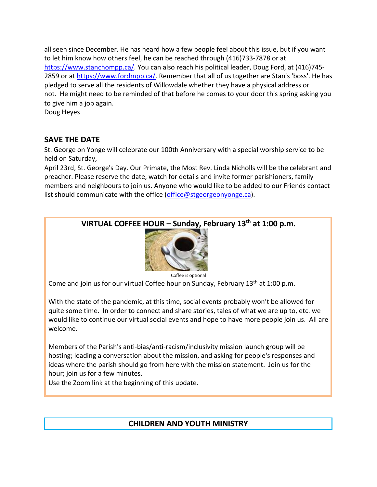all seen since December. He has heard how a few people feel about this issue, but if you want to let him know how others feel, he can be reached through (416)733-7878 or at https://www.stanchompp.ca/. You can also reach his political leader, Doug Ford, at (416)745-2859 or at https://www.fordmpp.ca/. Remember that all of us together are Stan's 'boss'. He has pledged to serve all the residents of Willowdale whether they have a physical address or not. He might need to be reminded of that before he comes to your door this spring asking you to give him a job again. Doug Heyes

SAVE THE DATE

St. George on Yonge will celebrate our 100th Anniversary with a special worship service to be held on Saturday,

April 23rd, St. George's Day. Our Primate, the Most Rev. Linda Nicholls will be the celebrant and preacher. Please reserve the date, watch for details and invite former parishioners, family members and neighbours to join us. Anyone who would like to be added to our Friends contact list should communicate with the office (office@stgeorgeonyonge.ca).

VIRTUAL COFFEE HOUR – Sunday, February  $13<sup>th</sup>$  at 1:00 p.m.



Coffee is optional

Come and join us for our virtual Coffee hour on Sunday, February  $13<sup>th</sup>$  at 1:00 p.m.

With the state of the pandemic, at this time, social events probably won't be allowed for quite some time. In order to connect and share stories, tales of what we are up to, etc. we would like to continue our virtual social events and hope to have more people join us. All are welcome.

Members of the Parish's anti-bias/anti-racism/inclusivity mission launch group will be hosting; leading a conversation about the mission, and asking for people's responses and ideas where the parish should go from here with the mission statement. Join us for the hour; join us for a few minutes.

Use the Zoom link at the beginning of this update.

# CHILDREN AND YOUTH MINISTRY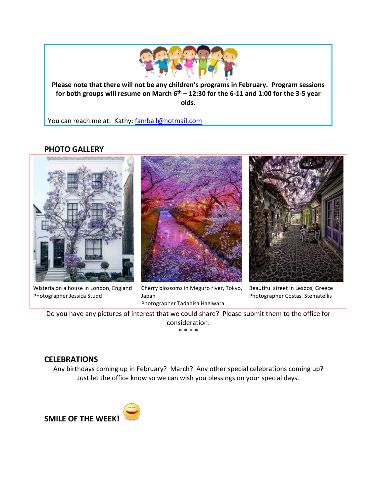

Please note that there will not be any children's programs in February. Program sessions for both groups will resume on March  $6<sup>th</sup> - 12:30$  for the 6-11 and 1:00 for the 3-5 year olds.

You can reach me at: Kathy: fambail@hotmail.com

# PHOTO GALLERY



Wisteria on a house in London, England Photographer Jessica Studd







Beautiful street in Lesbos, Greece Photographer Costas Stematellis

Do you have any pictures of interest that we could share? Please submit them to the office for consideration. \* \* \* \*

#### **CELEBRATIONS**

Any birthdays coming up in February? March? Any other special celebrations coming up? Just let the office know so we can wish you blessings on your special days.

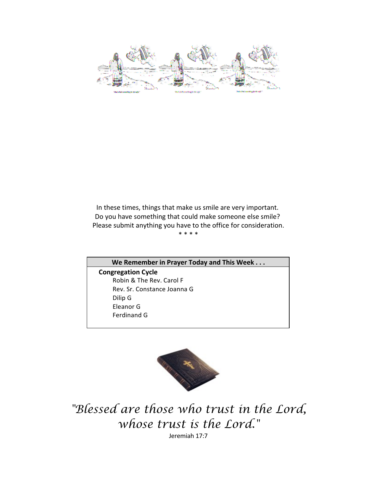In these times, things that make us smile are very important. Do you have something that could make someone else smile? Please submit anything you have to the office for consideration. \* \* \* \*

We Remember in Prayer Today and This Week . . . Congregation Cycle Robin & The Rev. Carol F Rev. Sr. Constance Joanna G Dilip G Eleanor G Ferdinand G



"Blessed are those who trust in the Lord, whose trust is the Lord."

Jeremiah 17:7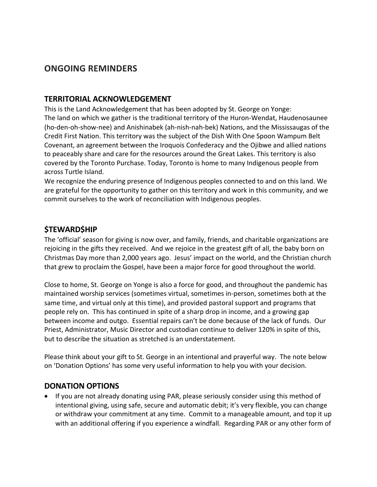# ONGOING REMINDERS

#### TERRITORIAL ACKNOWLEDGEMENT

This is the Land Acknowledgement that has been adopted by St. George on Yonge: The land on which we gather is the traditional territory of the Huron-Wendat, Haudenosaunee (ho-den-oh-show-nee) and Anishinabek (ah-nish-nah-bek) Nations, and the Mississaugas of the Credit First Nation. This territory was the subject of the Dish With One Spoon Wampum Belt Covenant, an agreement between the Iroquois Confederacy and the Ojibwe and allied nations to peaceably share and care for the resources around the Great Lakes. This territory is also covered by the Toronto Purchase. Today, Toronto is home to many Indigenous people from across Turtle Island.

We recognize the enduring presence of Indigenous peoples connected to and on this land. We are grateful for the opportunity to gather on this territory and work in this community, and we commit ourselves to the work of reconciliation with Indigenous peoples.

#### *<u>STEWARDSHIP</u>*

The 'official' season for giving is now over, and family, friends, and charitable organizations are rejoicing in the gifts they received. And we rejoice in the greatest gift of all, the baby born on Christmas Day more than 2,000 years ago. Jesus' impact on the world, and the Christian church that grew to proclaim the Gospel, have been a major force for good throughout the world.

Close to home, St. George on Yonge is also a force for good, and throughout the pandemic has maintained worship services (sometimes virtual, sometimes in-person, sometimes both at the same time, and virtual only at this time), and provided pastoral support and programs that people rely on. This has continued in spite of a sharp drop in income, and a growing gap between income and outgo. Essential repairs can't be done because of the lack of funds. Our Priest, Administrator, Music Director and custodian continue to deliver 120% in spite of this, but to describe the situation as stretched is an understatement.

Please think about your gift to St. George in an intentional and prayerful way. The note below on 'Donation Options' has some very useful information to help you with your decision.

#### DONATION OPTIONS

 If you are not already donating using PAR, please seriously consider using this method of intentional giving, using safe, secure and automatic debit; it's very flexible, you can change or withdraw your commitment at any time. Commit to a manageable amount, and top it up with an additional offering if you experience a windfall. Regarding PAR or any other form of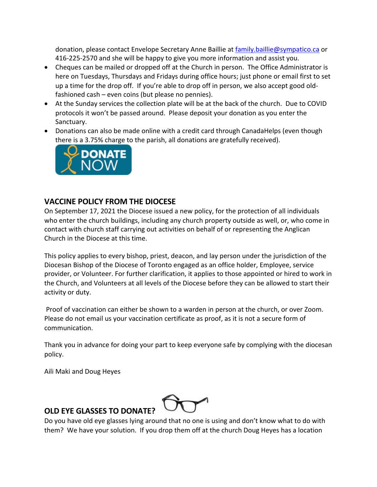donation, please contact Envelope Secretary Anne Baillie at family.baillie@sympatico.ca or 416-225-2570 and she will be happy to give you more information and assist you.

- Cheques can be mailed or dropped off at the Church in person. The Office Administrator is here on Tuesdays, Thursdays and Fridays during office hours; just phone or email first to set up a time for the drop off. If you're able to drop off in person, we also accept good oldfashioned cash – even coins (but please no pennies).
- At the Sunday services the collection plate will be at the back of the church. Due to COVID protocols it won't be passed around. Please deposit your donation as you enter the Sanctuary.
- Donations can also be made online with a credit card through CanadaHelps (even though there is a 3.75% charge to the parish, all donations are gratefully received).



#### VACCINE POLICY FROM THE DIOCESE

On September 17, 2021 the Diocese issued a new policy, for the protection of all individuals who enter the church buildings, including any church property outside as well, or, who come in contact with church staff carrying out activities on behalf of or representing the Anglican Church in the Diocese at this time.

This policy applies to every bishop, priest, deacon, and lay person under the jurisdiction of the Diocesan Bishop of the Diocese of Toronto engaged as an office holder, Employee, service provider, or Volunteer. For further clarification, it applies to those appointed or hired to work in the Church, and Volunteers at all levels of the Diocese before they can be allowed to start their activity or duty.

Proof of vaccination can either be shown to a warden in person at the church, or over Zoom. Please do not email us your vaccination certificate as proof, as it is not a secure form of communication.

Thank you in advance for doing your part to keep everyone safe by complying with the diocesan policy.

Aili Maki and Doug Heyes



# OLD EYE GLASSES TO DONATE?

Do you have old eye glasses lying around that no one is using and don't know what to do with them? We have your solution. If you drop them off at the church Doug Heyes has a location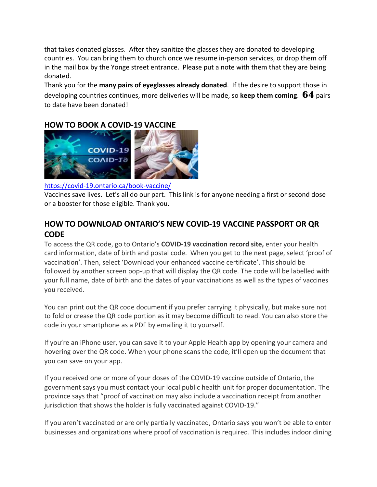that takes donated glasses. After they sanitize the glasses they are donated to developing countries. You can bring them to church once we resume in-person services, or drop them off in the mail box by the Yonge street entrance. Please put a note with them that they are being donated.

Thank you for the many pairs of eyeglasses already donated. If the desire to support those in developing countries continues, more deliveries will be made, so keep them coming.  $64$  pairs to date have been donated!

# HOW TO BOOK A COVID-19 VACCINE



#### https://covid-19.ontario.ca/book-vaccine/

Vaccines save lives. Let's all do our part. This link is for anyone needing a first or second dose or a booster for those eligible. Thank you.

# HOW TO DOWNLOAD ONTARIO'S NEW COVID-19 VACCINE PASSPORT OR QR CODE

To access the QR code, go to Ontario's COVID-19 vaccination record site, enter your health card information, date of birth and postal code. When you get to the next page, select 'proof of vaccination'. Then, select 'Download your enhanced vaccine certificate'. This should be followed by another screen pop-up that will display the QR code. The code will be labelled with your full name, date of birth and the dates of your vaccinations as well as the types of vaccines you received.

You can print out the QR code document if you prefer carrying it physically, but make sure not to fold or crease the QR code portion as it may become difficult to read. You can also store the code in your smartphone as a PDF by emailing it to yourself.

If you're an iPhone user, you can save it to your Apple Health app by opening your camera and hovering over the QR code. When your phone scans the code, it'll open up the document that you can save on your app.

If you received one or more of your doses of the COVID-19 vaccine outside of Ontario, the government says you must contact your local public health unit for proper documentation. The province says that "proof of vaccination may also include a vaccination receipt from another jurisdiction that shows the holder is fully vaccinated against COVID-19."

If you aren't vaccinated or are only partially vaccinated, Ontario says you won't be able to enter businesses and organizations where proof of vaccination is required. This includes indoor dining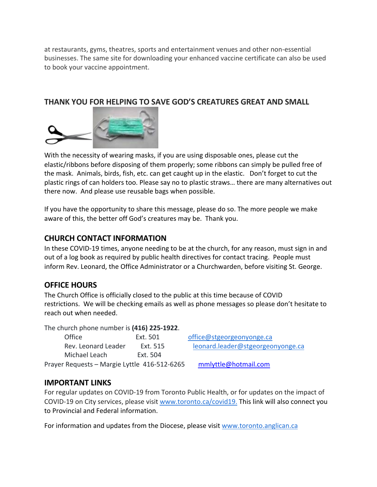at restaurants, gyms, theatres, sports and entertainment venues and other non-essential businesses. The same site for downloading your enhanced vaccine certificate can also be used to book your vaccine appointment.

## THANK YOU FOR HELPING TO SAVE GOD'S CREATURES GREAT AND SMALL



With the necessity of wearing masks, if you are using disposable ones, please cut the elastic/ribbons before disposing of them properly; some ribbons can simply be pulled free of the mask. Animals, birds, fish, etc. can get caught up in the elastic. Don't forget to cut the plastic rings of can holders too. Please say no to plastic straws… there are many alternatives out there now. And please use reusable bags when possible.

If you have the opportunity to share this message, please do so. The more people we make aware of this, the better off God's creatures may be. Thank you.

## CHURCH CONTACT INFORMATION

In these COVID-19 times, anyone needing to be at the church, for any reason, must sign in and out of a log book as required by public health directives for contact tracing. People must inform Rev. Leonard, the Office Administrator or a Churchwarden, before visiting St. George.

# OFFICE HOURS

The Church Office is officially closed to the public at this time because of COVID restrictions. We will be checking emails as well as phone messages so please don't hesitate to reach out when needed.

The church phone number is (416) 225-1922.

| Office                                       | Ext. 501 | office@stgeorgeonyonge.ca         |
|----------------------------------------------|----------|-----------------------------------|
| Rev. Leonard Leader                          | Ext. 515 | leonard.leader@stgeorgeonyonge.ca |
| Michael Leach                                | Ext. 504 |                                   |
| Prayer Requests - Margie Lyttle 416-512-6265 |          | mmlyttle@hotmail.com              |

#### IMPORTANT LINKS

For regular updates on COVID-19 from Toronto Public Health, or for updates on the impact of COVID-19 on City services, please visit www.toronto.ca/covid19. This link will also connect you to Provincial and Federal information.

For information and updates from the Diocese, please visit www.toronto.anglican.ca